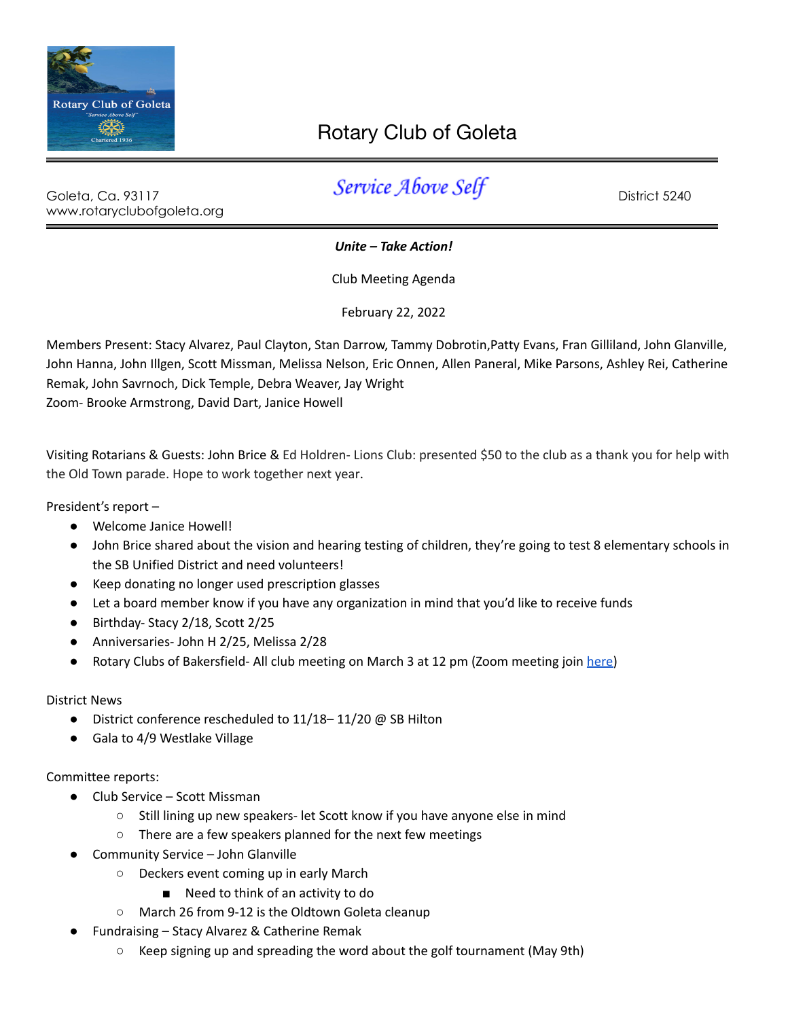

## Rotary Club of Goleta

www.rotaryclubofgoleta.org

Goleta, Ca. 93117 Service Above Self Boots Calculations

*Unite – Take Action!*

Club Meeting Agenda

February 22, 2022

Members Present: Stacy Alvarez, Paul Clayton, Stan Darrow, Tammy Dobrotin,Patty Evans, Fran Gilliland, John Glanville, John Hanna, John Illgen, Scott Missman, Melissa Nelson, Eric Onnen, Allen Paneral, Mike Parsons, Ashley Rei, Catherine Remak, John Savrnoch, Dick Temple, Debra Weaver, Jay Wright Zoom- Brooke Armstrong, David Dart, Janice Howell

Visiting Rotarians & Guests: John Brice & Ed Holdren- Lions Club: presented \$50 to the club as a thank you for help with the Old Town parade. Hope to work together next year.

President's report –

- Welcome Janice Howell!
- John Brice shared about the vision and hearing testing of children, they're going to test 8 elementary schools in the SB Unified District and need volunteers!
- Keep donating no longer used prescription glasses
- Let a board member know if you have any organization in mind that you'd like to receive funds
- Birthday- Stacy 2/18, Scott 2/25
- Anniversaries- John H 2/25, Melissa 2/28
- Rotary Clubs of Bakersfield- All club meeting on March 3 at 12 pm (Zoom meeting join [here\)](https://us06web.zoom.us/j/81053276854?pwd=ckZRTkVmbS93R1JiWFVHNXNlQkt6UT09#success)

District News

- District conference rescheduled to 11/18–11/20 @ SB Hilton
- Gala to 4/9 Westlake Village

## Committee reports:

- Club Service Scott Missman
	- Still lining up new speakers- let Scott know if you have anyone else in mind
	- There are a few speakers planned for the next few meetings
- Community Service John Glanville
	- Deckers event coming up in early March
		- Need to think of an activity to do
	- March 26 from 9-12 is the Oldtown Goleta cleanup
- Fundraising Stacy Alvarez & Catherine Remak
	- Keep signing up and spreading the word about the golf tournament (May 9th)